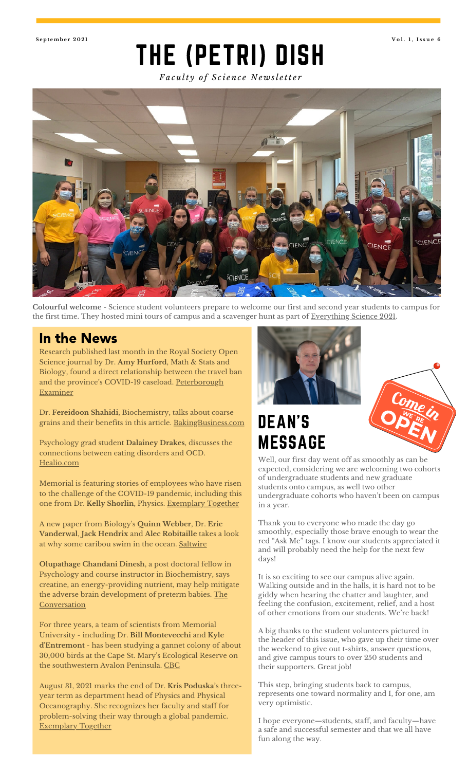<span id="page-0-0"></span>

## THE (PETRI) DISH **S e p t emb e r 2 0 2 1 V o l . 1 , I s s u e 6**

*Fa c u lt y o f S c i e n c e N e w sl e tt e r*



**Colourful welcome** - Science student volunteers prepare to welcome our first and second year students to campus for the first time. They hosted mini tours of campus and a scavenger hunt as part of [Everything](https://www.mun.ca/science/future-students/everything-science-2021/) Science 2021.

#### In the News

Research published last month in the Royal Society Open Science journal by Dr. **Amy Hurford**, Math & Stats and Biology, found a direct relationship between the travel ban and the province's COVID-19 caseload. <u>[Peterborough](https://www.thepeterboroughexaminer.com/ts/news/canada/2021/07/13/more-than-5000-turned-away-the-numbers-behind-controversial-nl-travel-ban.html)</u> **Examiner** 

Dr. **Fereidoon Shahidi**, Biochemistry, talks about coarse grains and their benefits in this article. [BakingBusiness.com](https://www.bakingbusiness.com/articles/54238-coarse-grains-could-offer-new-opportunities)

Psychology grad student **Dalainey Drakes**, discusses the connections between eating disorders and OCD. [Healio.com](https://www.healio.com/news/psychiatry/20210720/people-with-eating-disorders-have-nine-times-greater-risk-for-lifetime-ocd)

Memorial is featuring stories of employees who have risen to the challenge of the COVID-19 pandemic, including this one from Dr. **Kelly Shorlin**, Physics. [Exemplary](https://www.mun.ca/exemplary-together/news.php?id=14388&type=features) Together

A new paper from Biology ' s **Quinn Webber**, Dr. **Eric Vanderwal**, **Jack Hendrix** and **Alec Robitaille** takes a look at why some caribou swim in the ocean. [Saltwire](https://www.saltwire.com/atlantic-canada/news/island-hoppers-swimming-caribou-of-newfoundlands-fogo-island-subject-of-new-academic-research-paper-100617829/)

**Olupathage Chandani Dinesh**, a post doctoral fellow in Psychology and course instructor in Biochemistry, says creatine, an energy-providing nutrient, may help mitigate the adverse brain development of preterm babies. The **[Conversation](https://theconversation.com/premature-babies-are-prone-to-impaired-brain-development-but-nutrients-may-reduce-the-risk-164004)** 

For three years, a team of scientists from Memorial University - including Dr. **Bill Montevecchi** and **Kyle d'Entremont** - has been studying a gannet colony of about 30,000 birds at the Cape St. Mary ' s Ecological Reserve on the southwestern Avalon Peninsula. [CBC](https://www.cbc.ca/news/canada/newfoundland-labrador/studying-gannets-cape-st-marys-1.6140715)

August 31, 2021 marks the end of Dr. **Kris Poduska** ' s threeyear term as department head of Physics and Physical Oceanography. She recognizes her faculty and staff for problem-solving their way through a global pandemic. [Exemplary](https://www.mun.ca/exemplary-together/news.php?id=14481&type=features) Together



# DEAN'S MESSAGE



Well, our first day went off as smoothly as can be expected, considering we are welcoming two cohorts of undergraduate students and new graduate students onto campus, as well two other undergraduate cohorts who haven 't been on campus in a year.

Thank you to everyone who made the day go smoothly, especially those brave enough to wear the red "Ask Me " tags. I know our students appreciated it and will probably need the help for the next few days!

It is so exciting to see our campus alive again. Walking outside and in the halls, it is hard not to be giddy when hearing the chatter and laughter, and feeling the confusion, excitement, relief, and a host of other emotions from our students. We're back!

A big thanks to the student volunteers pictured in the header of this issue, who gave up their time over the weekend to give out t-shirts, answer questions, and give campus tours to over 250 students and their supporters. Great job!

This step, bringing students back to campus, represents one toward normality and I, for one, am very optimistic.

I hope everyone—students, staff, and faculty—have a safe and successful semester and that we all have fun along the way.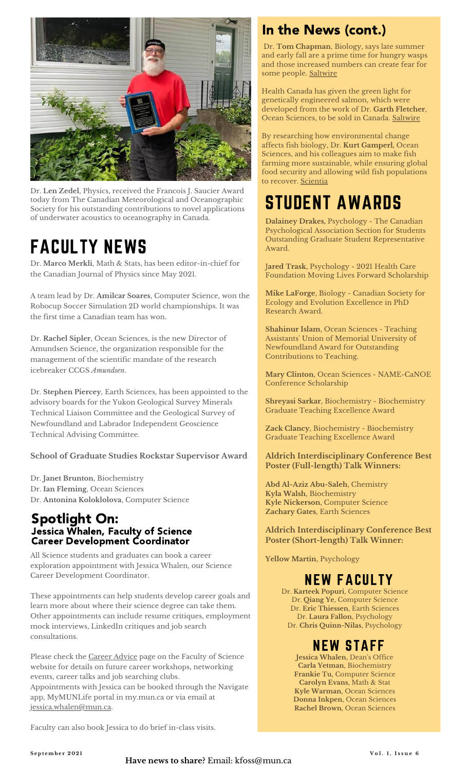

Dr. **Len Zedel**, Physics, received the Francois J. Saucier Award today from The Canadian Meteorological and Oceanographic Society for his outstanding contributions to novel applications of underwater acoustics to oceanography in Canada.

# FACULTY NEWS

Dr. **Marco Merkli**, Math & Stats, has been editor-in-chief for the Canadian Journal of Physics since May 2021.

A team lead by Dr. **Amilcar Soares**, Computer Science, won the Robocup Soccer Simulation 2D world championships. It was the first time a Canadian team has won.

Dr. **Rachel Sipler**, Ocean Sciences, is the new Director of Amundsen Science, the organization responsible for the management of the scientific mandate of the research icebreaker CCGS *Amundsen*.

Dr. **Stephen Piercey**, Earth Sciences, has been appointed to the advisory boards for the Yukon Geological Survey Minerals Technical Liaison Committee and the Geological Survey of Newfoundland and Labrador Independent Geoscience Technical Advising Committee.

**School of Graduate Studies Rockstar Supervisor Award**

Dr. **Janet Brunton**, Biochemistry Dr. **Ian Fleming**, Ocean Sciences Dr. **Antonina Koloklolova**, Computer Science

#### Spotlight On: Jessica Whalen, Faculty of Science Career Development Coordinator

All Science students and graduates can book a career exploration appointment with Jessica Whalen, our Science Career Development Coordinator.

These appointments can help students develop career goals and learn more about where their science degree can take them. Other appointments can include resume critiques, employment mock interviews, LinkedIn critiques and job search consultations.

Please check the [Career](https://mun.ca/science/undergraduates/career-advice-for-science-students/) Advice page on the Faculty of Science website for details on future career workshops, networking events, career talks and job searching clubs. Appointments with Jessica can be booked through the Navigate app, MyMUNLife portal in my.mun.ca or via email at [jessica.whalen@mun.ca.](#page-0-0)

Faculty can also book Jessica to do brief in-class visits.

### In the News (cont.)

Dr. **Tom Chapman**, Biology, says late summer and early fall are a prime time for hungry wasps and those increased numbers can create fear for some people. [Saltwire](https://www.saltwire.com/atlantic-canada/news/local/here-come-the-wasps-in-newfoundland-and-labrador-100627733/)

Health Canada has given the green light for genetically engineered salmon, which were developed from the work of Dr. **Garth Fletcher**, Ocean Sciences, to be sold in Canada. [Saltwire](https://www.saltwire.com/atlantic-canada/news/provincial/genetically-modified-salmon-whats-the-need-for-it-environmentalist-says-100626894/)

By researching how environmental change affects fish biology, Dr. **Kurt Gamperl,** Ocean Sciences, and his colleagues aim to make fish farming more sustainable, while ensuring global food security and allowing wild fish populations to recover. [Scientia](https://www.scientia.global/dr-kurt-gamperl-exploring-how-fish-adapt-to-climate-change-sustainable-aquaculture-and-species-conservation/)

# STUDENT AWARDS

**Dalainey Drakes,** Psychology - The Canadian Psychological Association Section for Students Outstanding Graduate Student Representative Award.

J**ared Trask**, Psychology - 2021 Health Care Foundation Moving Lives Forward Scholarship

**Mike LaForge**, Biology - Canadian Society for Ecology and Evolution Excellence in PhD Research Award.

**Shahinur Islam**, Ocean Sciences - Teaching Assistants ' Union of Memorial University of Newfoundland Award for Outstanding Contributions to Teaching.

**Mary Clinton**, Ocean Sciences - NAME-CaNOE Conference Scholarship

**Shreyasi Sarkar**, Biochemistry - Biochemistry Graduate Teaching Excellence Award

**Zack Clancy**, Biochemistry - Biochemistry Graduate Teaching Excellence Award

#### **Aldrich Interdisciplinary Conference Best Poster (Full-length) Talk Winners:**

**Abd Al-Aziz Abu-Saleh**, Chemistry **Kyla Walsh**, Biochemistry **Kyle Nickerson**, Computer Science **Zachary Gates**, Earth Sciences

**Aldrich Interdisciplinary Conference Best Poster (Short-length) Talk Winner:**

**Yellow Martin**, Psychology

### NEW FACULTY

Dr. **Karteek Popuri**, Computer Science Dr. **Qiang Ye**, Computer Science Dr. **Eric Thiessen**, Earth Sciences Dr. **Laura Fallon**, Psychology Dr. **Chris Quinn-Nilas**, Psychology

#### NEW STAFF

**Jessica Whalen**, Dean 's Office **Carla Yetman**, Biochemistry **Frankie Tu**, Computer Science **Carolyn Evans**, Math & Stat **Kyle Warman**, Ocean Sciences **Donna Inkpen**, Ocean Sciences **Rachel Brown**, Ocean Sciences